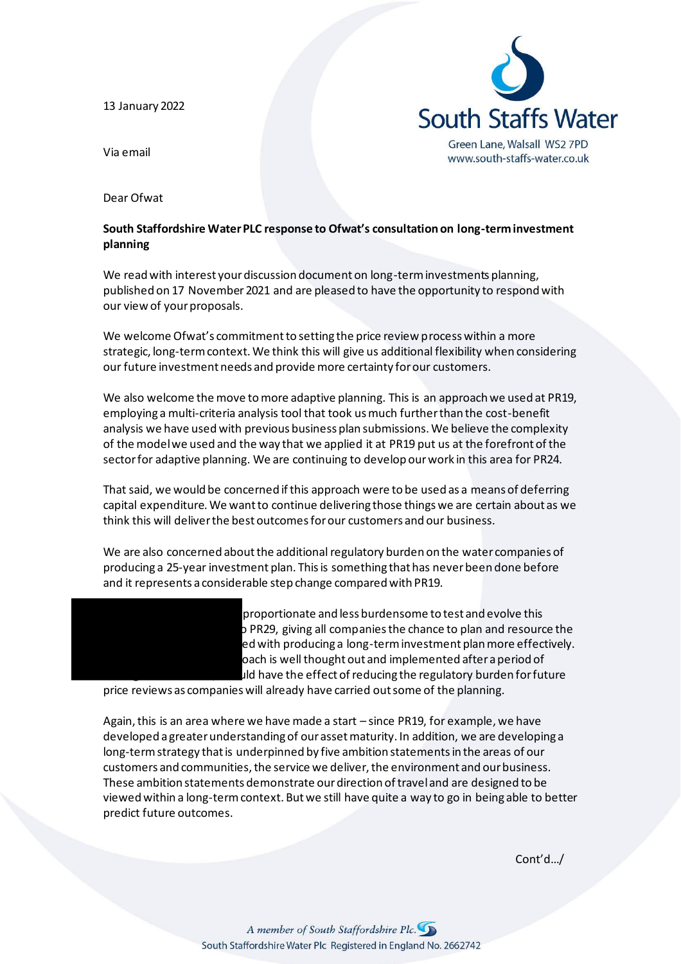13 January 2022



Via email

Dear Ofwat

## **South Staffordshire Water PLC response to Ofwat's consultation on long-term investment planning**

We read with interest your discussion document on long-term investments planning, published on 17 November 2021 and are pleased to have the opportunity to respond with our view of your proposals.

We welcome Ofwat's commitment to setting the price review process within a more strategic, long-term context. We think this will give us additional flexibility when considering our future investment needs and provide more certainty for our customers.

We also welcome the move to more adaptive planning. This is an approach we used at PR19, employing a multi-criteria analysis tool that took us much further than the cost-benefit analysis we have used with previous business plan submissions. We believe the complexity of the model we used and the way that we applied it at PR19 put us at the forefront of the sector for adaptive planning. We are continuing to develop our work in this area for PR24.

That said, we would be concerned if this approach were to be used as a means of deferring capital expenditure. We want to continue delivering those things we are certain about as we think this will deliver the best outcomes for our customers and our business.

We are also concerned about the additional regulatory burden on the water companies of producing a 25-year investment plan. This is something that has never been done before and it represents a considerable step change compared with PR19.



proportionate and less burdensome to test and evolve this p PR29, giving all companies the chance to plan and resource the ed with producing a long-term investment plan more effectively. pach is well thought out and implemented after a period of  $\mu$ ld have the effect of reducing the regulatory burden for future

price reviews as companies will already have carried out some of the planning.

Again, this is an area where we have made a start – since PR19, for example, we have developed a greater understanding of our asset maturity. In addition, we are developing a long-term strategy that is underpinned by five ambition statements in the areas of our customers and communities, the service we deliver, the environment and our business. These ambition statements demonstrate our direction of travel and are designed to be viewed within a long-term context. But we still have quite a way to go in being able to better predict future outcomes.

Cont'd…/